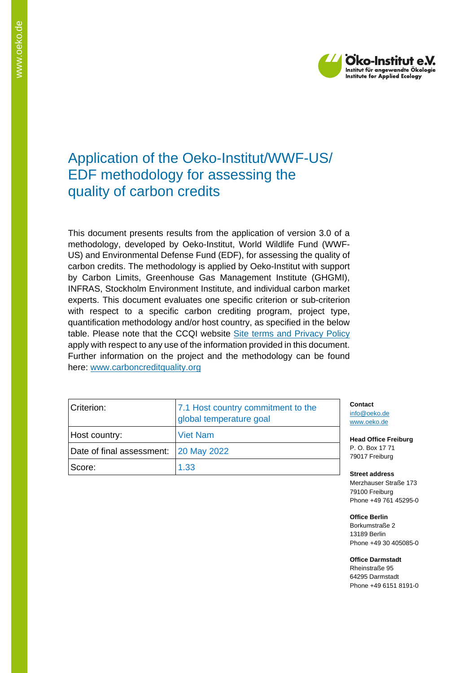

# Application of the Oeko-Institut/WWF-US/ EDF methodology for assessing the quality of carbon credits

This document presents results from the application of version 3.0 of a methodology, developed by Oeko-Institut, World Wildlife Fund (WWF-US) and Environmental Defense Fund (EDF), for assessing the quality of carbon credits. The methodology is applied by Oeko-Institut with support by Carbon Limits, Greenhouse Gas Management Institute (GHGMI), INFRAS, Stockholm Environment Institute, and individual carbon market experts. This document evaluates one specific criterion or sub-criterion with respect to a specific carbon crediting program, project type, quantification methodology and/or host country, as specified in the below table. Please note that the CCQI website [Site terms and Privacy Policy](https://carboncreditquality.org/terms.html) apply with respect to any use of the information provided in this document. Further information on the project and the methodology can be found here: [www.carboncreditquality.org](http://www.carboncreditquality.org/)

| Criterion:                              | 7.1 Host country commitment to the<br>global temperature goal |
|-----------------------------------------|---------------------------------------------------------------|
| Host country:                           | <b>Viet Nam</b>                                               |
| Date of final assessment:   20 May 2022 |                                                               |
| Score:                                  | 1.33                                                          |

**Contact** [info@oeko.de](mailto:info@oeko.de) [www.oeko.de](http://www.oeko.de/)

**Head Office Freiburg** P. O. Box 17 71 79017 Freiburg

**Street address** Merzhauser Straße 173 79100 Freiburg Phone +49 761 45295-0

**Office Berlin** Borkumstraße 2 13189 Berlin Phone +49 30 405085-0

**Office Darmstadt** Rheinstraße 95 64295 Darmstadt Phone +49 6151 8191-0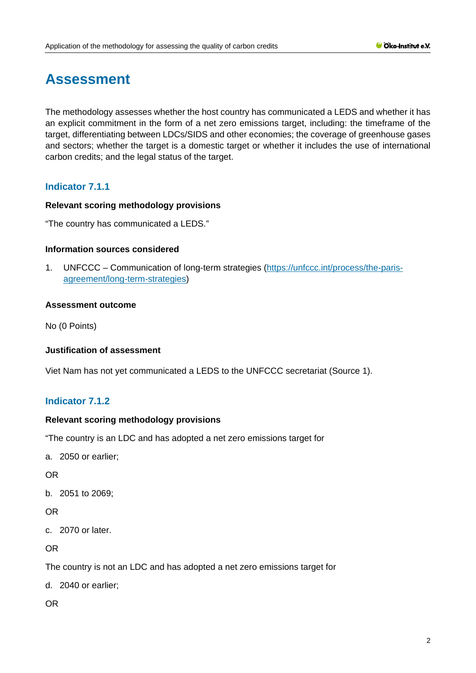# **Assessment**

The methodology assesses whether the host country has communicated a LEDS and whether it has an explicit commitment in the form of a net zero emissions target, including: the timeframe of the target, differentiating between LDCs/SIDS and other economies; the coverage of greenhouse gases and sectors; whether the target is a domestic target or whether it includes the use of international carbon credits; and the legal status of the target.

# **Indicator 7.1.1**

# **Relevant scoring methodology provisions**

"The country has communicated a LEDS."

## **Information sources considered**

1. UNFCCC – Communication of long-term strategies [\(https://unfccc.int/process/the-paris](https://unfccc.int/process/the-paris-agreement/long-term-strategies)[agreement/long-term-strategies\)](https://unfccc.int/process/the-paris-agreement/long-term-strategies)

## **Assessment outcome**

No (0 Points)

#### **Justification of assessment**

Viet Nam has not yet communicated a LEDS to the UNFCCC secretariat (Source 1).

# **Indicator 7.1.2**

#### **Relevant scoring methodology provisions**

"The country is an LDC and has adopted a net zero emissions target for

a. 2050 or earlier;

OR

b. 2051 to 2069;

# OR

c. 2070 or later.

OR

The country is not an LDC and has adopted a net zero emissions target for

d. 2040 or earlier;

OR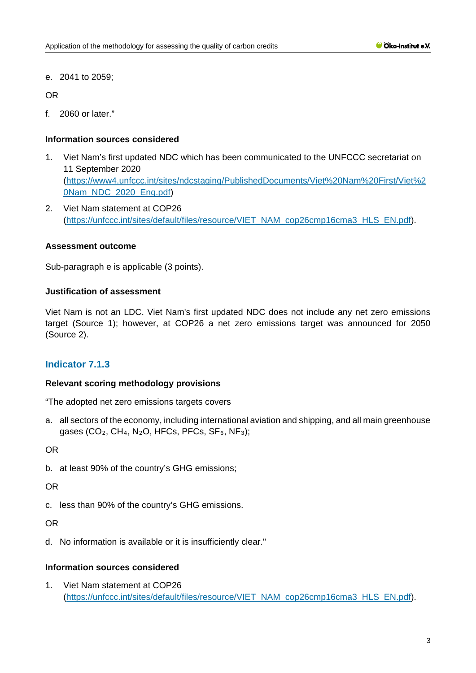e. 2041 to 2059;

OR

f. 2060 or later."

# **Information sources considered**

- 1. Viet Nam's first updated NDC which has been communicated to the UNFCCC secretariat on 11 September 2020 [\(https://www4.unfccc.int/sites/ndcstaging/PublishedDocuments/Viet%20Nam%20First/Viet%2](https://www4.unfccc.int/sites/ndcstaging/PublishedDocuments/Viet%20Nam%20First/Viet%20Nam_NDC_2020_Eng.pdf) [0Nam\\_NDC\\_2020\\_Eng.pdf\)](https://www4.unfccc.int/sites/ndcstaging/PublishedDocuments/Viet%20Nam%20First/Viet%20Nam_NDC_2020_Eng.pdf)
- 2. Viet Nam statement at COP26 [\(https://unfccc.int/sites/default/files/resource/VIET\\_NAM\\_cop26cmp16cma3\\_HLS\\_EN.pdf\)](https://unfccc.int/sites/default/files/resource/VIET_NAM_cop26cmp16cma3_HLS_EN.pdf).

## **Assessment outcome**

Sub-paragraph e is applicable (3 points).

# **Justification of assessment**

Viet Nam is not an LDC. Viet Nam's first updated NDC does not include any net zero emissions target (Source 1); however, at COP26 a net zero emissions target was announced for 2050 (Source 2).

# **Indicator 7.1.3**

#### **Relevant scoring methodology provisions**

"The adopted net zero emissions targets covers

a. all sectors of the economy, including international aviation and shipping, and all main greenhouse gases (CO<sub>2</sub>, CH<sub>4</sub>, N<sub>2</sub>O, HFCs, PFCs, SF<sub>6</sub>, NF<sub>3</sub>);

OR

b. at least 90% of the country's GHG emissions;

OR

c. less than 90% of the country's GHG emissions.

OR

d. No information is available or it is insufficiently clear."

#### **Information sources considered**

1. Viet Nam statement at COP26 [\(https://unfccc.int/sites/default/files/resource/VIET\\_NAM\\_cop26cmp16cma3\\_HLS\\_EN.pdf\)](https://unfccc.int/sites/default/files/resource/VIET_NAM_cop26cmp16cma3_HLS_EN.pdf).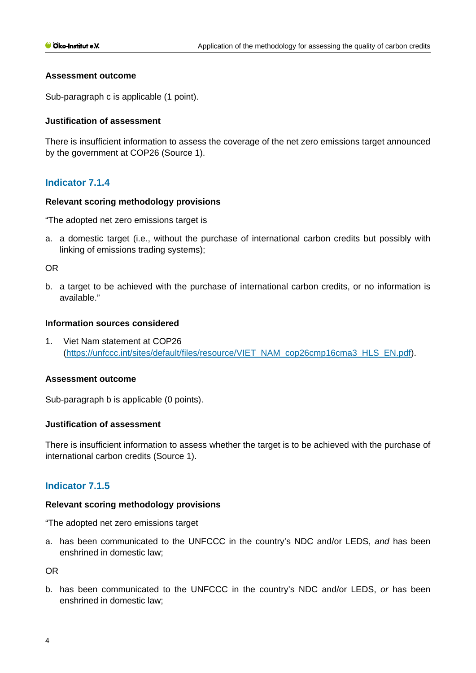## **Assessment outcome**

Sub-paragraph c is applicable (1 point).

## **Justification of assessment**

There is insufficient information to assess the coverage of the net zero emissions target announced by the government at COP26 (Source 1).

# **Indicator 7.1.4**

#### **Relevant scoring methodology provisions**

"The adopted net zero emissions target is

a. a domestic target (i.e., without the purchase of international carbon credits but possibly with linking of emissions trading systems);

OR

b. a target to be achieved with the purchase of international carbon credits, or no information is available."

## **Information sources considered**

1. Viet Nam statement at COP26 [\(https://unfccc.int/sites/default/files/resource/VIET\\_NAM\\_cop26cmp16cma3\\_HLS\\_EN.pdf\)](https://unfccc.int/sites/default/files/resource/VIET_NAM_cop26cmp16cma3_HLS_EN.pdf).

#### **Assessment outcome**

Sub-paragraph b is applicable (0 points).

# **Justification of assessment**

There is insufficient information to assess whether the target is to be achieved with the purchase of international carbon credits (Source 1).

# **Indicator 7.1.5**

#### **Relevant scoring methodology provisions**

"The adopted net zero emissions target

a. has been communicated to the UNFCCC in the country's NDC and/or LEDS, *and* has been enshrined in domestic law;

OR

b. has been communicated to the UNFCCC in the country's NDC and/or LEDS, *or* has been enshrined in domestic law;